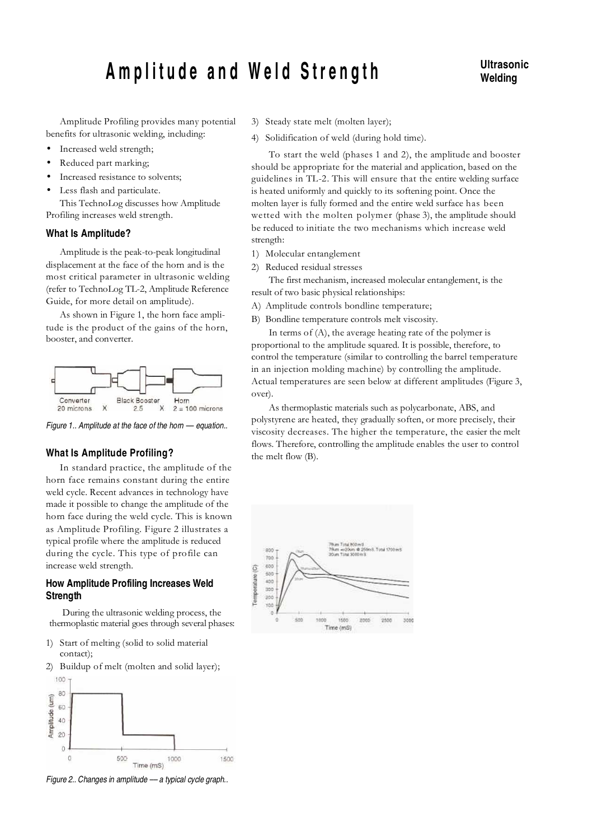# Amplitude and Weld Strength **Ultrasonic**

# **Welding**

Amplitude Profiling provides many potential benefits for ultrasonic welding, including:

- Increased weld strength;
- Reduced part marking;
- Increased resistance to solvents;
- Less flash and particulate.

This TechnoLog discusses how Amplitude Profiling increases weld strength.

### **What Is Amplitude?**

Amplitude is the peak-to-peak longitudinal displacement at the face of the horn and is the most critical parameter in ultrasonic welding (refer to TechnoLog TL-2, Amplitude Reference Guide, for more detail on amplitude).

As shown in Figure 1, the horn face amplitude is the product of the gains of the horn, booster, and converter.



Figure 1.. Amplitude at the face of the horn - equation..

### **What Is Amplitude Profiling?**

In standard practice, the amplitude of the horn face remains constant during the entire weld cycle. Recent advances in technology have made it possible to change the amplitude of the horn face during the weld cycle. This is known as Amplitude Profiling. Figure 2 illustrates a typical profile where the amplitude is reduced during the cycle. This type of profile can increase weld strength.

# **How Amplitude Profiling Increases Weld Strength**

During the ultrasonic welding process, the thermoplastic material goes through several phases:

- 1) Start of melting (solid to solid material contact);
- 2) Buildup of melt (molten and solid layer);



Figure 2.. Changes in amplitude - a typical cycle graph..

- 3) Steady state melt (molten layer);
- 4) Solidification of weld (during hold time).

To start the weld (phases 1 and 2), the amplitude and booster should be appropriate for the material and application, based on the guidelines in TL-2. This will ensure that the entire welding surface is heated uniformly and quickly to its softening point. Once the molten layer is fully formed and the entire weld surface has been wetted with the molten polymer (phase 3), the amplitude should be reduced to initiate the two mechanisms which increase weld strength:

- 1) Molecular entanglement
- 2) Reduced residual stresses

The first mechanism, increased molecular entanglement, is the result of two basic physical relationships:

- A) Amplitude controls bondline temperature;
- B) Bondline temperature controls melt viscosity.

In terms of (A), the average heating rate of the polymer is proportional to the amplitude squared. It is possible, therefore, to control the temperature (similar to controlling the barrel temperature in an injection molding machine) by controlling the amplitude. Actual temperatures are seen below at different amplitudes (Figure 3, over).

As thermoplastic materials such as polycarbonate, ABS, and polystyrene are heated, they gradually soften, or more precisely, their viscosity decreases. The higher the temperature, the easier the melt flows. Therefore, controlling the amplitude enables the user to control the melt flow (B).